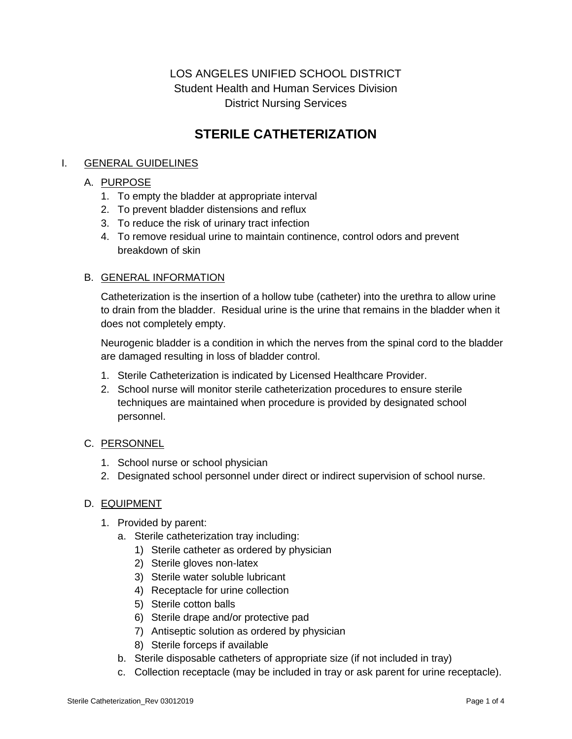## LOS ANGELES UNIFIED SCHOOL DISTRICT Student Health and Human Services Division District Nursing Services

# **STERILE CATHETERIZATION**

## I. GENERAL GUIDELINES

## A. PURPOSE

- 1. To empty the bladder at appropriate interval
- 2. To prevent bladder distensions and reflux
- 3. To reduce the risk of urinary tract infection
- 4. To remove residual urine to maintain continence, control odors and prevent breakdown of skin

#### B. GENERAL INFORMATION

Catheterization is the insertion of a hollow tube (catheter) into the urethra to allow urine to drain from the bladder. Residual urine is the urine that remains in the bladder when it does not completely empty.

Neurogenic bladder is a condition in which the nerves from the spinal cord to the bladder are damaged resulting in loss of bladder control.

- 1. Sterile Catheterization is indicated by Licensed Healthcare Provider.
- 2. School nurse will monitor sterile catheterization procedures to ensure sterile techniques are maintained when procedure is provided by designated school personnel.

#### C. PERSONNEL

- 1. School nurse or school physician
- 2. Designated school personnel under direct or indirect supervision of school nurse.

#### D. EQUIPMENT

- 1. Provided by parent:
	- a. Sterile catheterization tray including:
		- 1) Sterile catheter as ordered by physician
		- 2) Sterile gloves non-latex
		- 3) Sterile water soluble lubricant
		- 4) Receptacle for urine collection
		- 5) Sterile cotton balls
		- 6) Sterile drape and/or protective pad
		- 7) Antiseptic solution as ordered by physician
		- 8) Sterile forceps if available
	- b. Sterile disposable catheters of appropriate size (if not included in tray)
	- c. Collection receptacle (may be included in tray or ask parent for urine receptacle).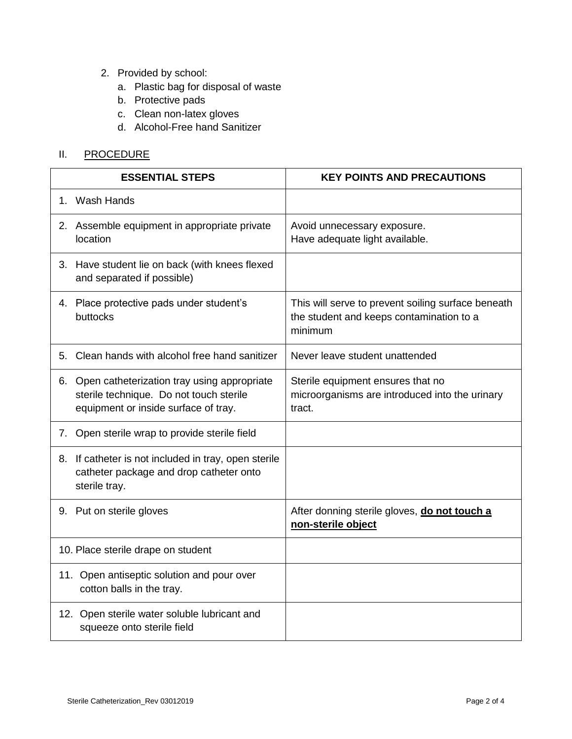- 2. Provided by school:
	- a. Plastic bag for disposal of waste
	- b. Protective pads
	- c. Clean non-latex gloves
	- d. Alcohol-Free hand Sanitizer

## II. PROCEDURE

| <b>ESSENTIAL STEPS</b>             |                                                                                                                                   | <b>KEY POINTS AND PRECAUTIONS</b>                                                                         |
|------------------------------------|-----------------------------------------------------------------------------------------------------------------------------------|-----------------------------------------------------------------------------------------------------------|
|                                    | 1. Wash Hands                                                                                                                     |                                                                                                           |
|                                    | 2. Assemble equipment in appropriate private<br>location                                                                          | Avoid unnecessary exposure.<br>Have adequate light available.                                             |
|                                    | 3. Have student lie on back (with knees flexed<br>and separated if possible)                                                      |                                                                                                           |
|                                    | 4. Place protective pads under student's<br>buttocks                                                                              | This will serve to prevent soiling surface beneath<br>the student and keeps contamination to a<br>minimum |
|                                    | 5. Clean hands with alcohol free hand sanitizer                                                                                   | Never leave student unattended                                                                            |
|                                    | 6. Open catheterization tray using appropriate<br>sterile technique. Do not touch sterile<br>equipment or inside surface of tray. | Sterile equipment ensures that no<br>microorganisms are introduced into the urinary<br>tract.             |
|                                    | 7. Open sterile wrap to provide sterile field                                                                                     |                                                                                                           |
|                                    | 8. If catheter is not included in tray, open sterile<br>catheter package and drop catheter onto<br>sterile tray.                  |                                                                                                           |
|                                    | 9. Put on sterile gloves                                                                                                          | After donning sterile gloves, do not touch a<br>non-sterile object                                        |
| 10. Place sterile drape on student |                                                                                                                                   |                                                                                                           |
|                                    | 11. Open antiseptic solution and pour over<br>cotton balls in the tray.                                                           |                                                                                                           |
|                                    | 12. Open sterile water soluble lubricant and<br>squeeze onto sterile field                                                        |                                                                                                           |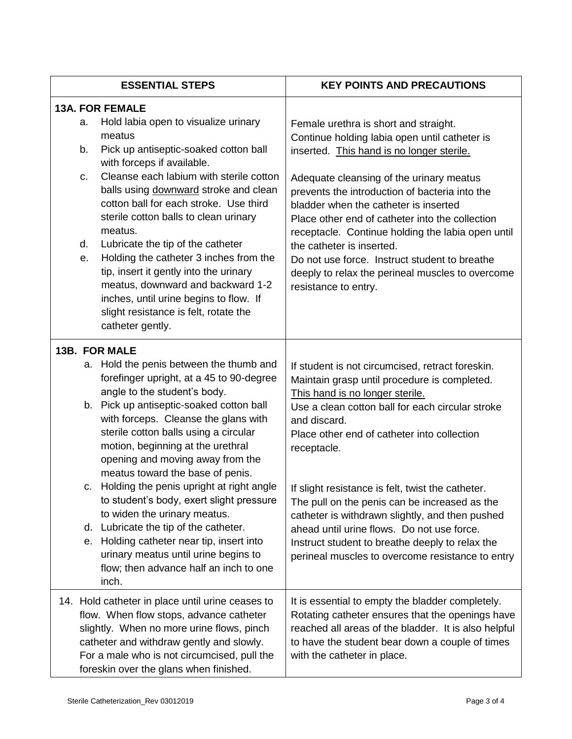|                            | <b>ESSENTIAL STEPS</b>                                                                                                                                                                                                                                                                                                                                                                                                                                                                                                                                                                                                                                                                                     | <b>KEY POINTS AND PRECAUTIONS</b>                                                                                                                                                                                                                                                                                                                                                                                                                                                                                                                                                   |
|----------------------------|------------------------------------------------------------------------------------------------------------------------------------------------------------------------------------------------------------------------------------------------------------------------------------------------------------------------------------------------------------------------------------------------------------------------------------------------------------------------------------------------------------------------------------------------------------------------------------------------------------------------------------------------------------------------------------------------------------|-------------------------------------------------------------------------------------------------------------------------------------------------------------------------------------------------------------------------------------------------------------------------------------------------------------------------------------------------------------------------------------------------------------------------------------------------------------------------------------------------------------------------------------------------------------------------------------|
| a.<br>b.<br>C.<br>d.<br>е. | <b>13A. FOR FEMALE</b><br>Hold labia open to visualize urinary<br>meatus<br>Pick up antiseptic-soaked cotton ball<br>with forceps if available.<br>Cleanse each labium with sterile cotton<br>balls using downward stroke and clean<br>cotton ball for each stroke. Use third<br>sterile cotton balls to clean urinary<br>meatus.<br>Lubricate the tip of the catheter<br>Holding the catheter 3 inches from the<br>tip, insert it gently into the urinary<br>meatus, downward and backward 1-2<br>inches, until urine begins to flow. If<br>slight resistance is felt, rotate the<br>catheter gently.                                                                                                     | Female urethra is short and straight.<br>Continue holding labia open until catheter is<br>inserted. This hand is no longer sterile.<br>Adequate cleansing of the urinary meatus<br>prevents the introduction of bacteria into the<br>bladder when the catheter is inserted<br>Place other end of catheter into the collection<br>receptacle. Continue holding the labia open until<br>the catheter is inserted.<br>Do not use force. Instruct student to breathe<br>deeply to relax the perineal muscles to overcome<br>resistance to entry.                                        |
|                            | <b>13B. FOR MALE</b><br>a. Hold the penis between the thumb and<br>forefinger upright, at a 45 to 90-degree<br>angle to the student's body.<br>b. Pick up antiseptic-soaked cotton ball<br>with forceps. Cleanse the glans with<br>sterile cotton balls using a circular<br>motion, beginning at the urethral<br>opening and moving away from the<br>meatus toward the base of penis.<br>Holding the penis upright at right angle<br>C.<br>to student's body, exert slight pressure<br>to widen the urinary meatus.<br>Lubricate the tip of the catheter.<br>d.<br>Holding catheter near tip, insert into<br>е.<br>urinary meatus until urine begins to<br>flow; then advance half an inch to one<br>inch. | If student is not circumcised, retract foreskin.<br>Maintain grasp until procedure is completed.<br>This hand is no longer sterile.<br>Use a clean cotton ball for each circular stroke<br>and discard.<br>Place other end of catheter into collection<br>receptacle.<br>If slight resistance is felt, twist the catheter.<br>The pull on the penis can be increased as the<br>catheter is withdrawn slightly, and then pushed<br>ahead until urine flows. Do not use force.<br>Instruct student to breathe deeply to relax the<br>perineal muscles to overcome resistance to entry |
|                            | 14. Hold catheter in place until urine ceases to<br>flow. When flow stops, advance catheter<br>slightly. When no more urine flows, pinch<br>catheter and withdraw gently and slowly.<br>For a male who is not circumcised, pull the<br>foreskin over the glans when finished.                                                                                                                                                                                                                                                                                                                                                                                                                              | It is essential to empty the bladder completely.<br>Rotating catheter ensures that the openings have<br>reached all areas of the bladder. It is also helpful<br>to have the student bear down a couple of times<br>with the catheter in place.                                                                                                                                                                                                                                                                                                                                      |